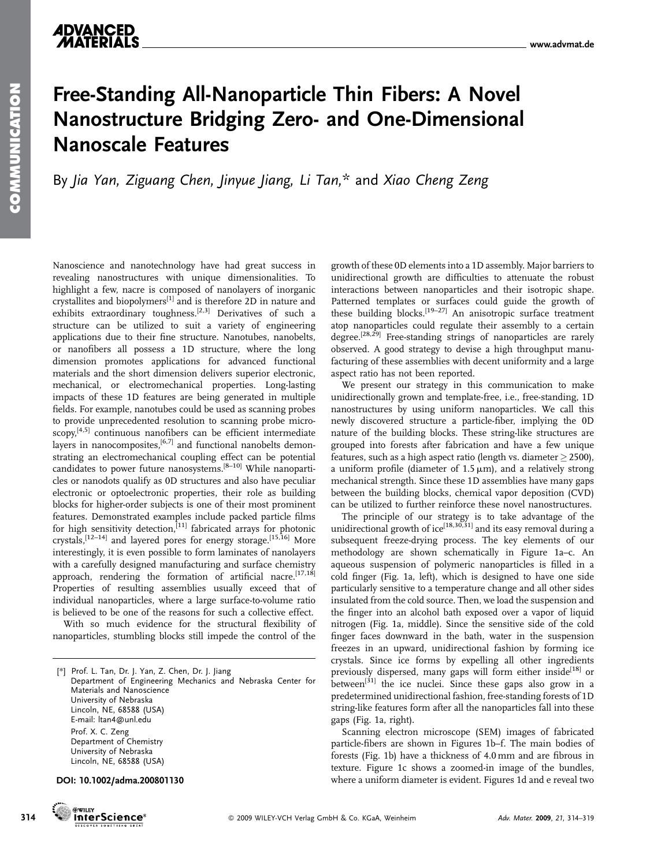## Free-Standing All-Nanoparticle Thin Fibers: A Novel Nanostructure Bridging Zero- and One-Dimensional Nanoscale Features

By Jia Yan, Ziguang Chen, Jinyue Jiang, Li Tan,\* and Xiao Cheng Zeng

Nanoscience and nanotechnology have had great success in revealing nanostructures with unique dimensionalities. To highlight a few, nacre is composed of nanolayers of inorganic crystallites and biopolymers[1] and is therefore 2D in nature and exhibits extraordinary toughness.<sup>[2,3]</sup> Derivatives of such a structure can be utilized to suit a variety of engineering applications due to their fine structure. Nanotubes, nanobelts, or nanofibers all possess a 1D structure, where the long dimension promotes applications for advanced functional materials and the short dimension delivers superior electronic, mechanical, or electromechanical properties. Long-lasting impacts of these 1D features are being generated in multiple fields. For example, nanotubes could be used as scanning probes to provide unprecedented resolution to scanning probe micro-

 $s$ copy,<sup>[4,5]</sup> continuous nanofibers can be efficient intermediate layers in nanocomposites, $[6,7]$  and functional nanobelts demonstrating an electromechanical coupling effect can be potential candidates to power future nanosystems.[8–10] While nanoparticles or nanodots qualify as 0D structures and also have peculiar electronic or optoelectronic properties, their role as building blocks for higher-order subjects is one of their most prominent features. Demonstrated examples include packed particle films for high sensitivity detection,<sup>[11]</sup> fabricated arrays for photonic crystals,[12–14] and layered pores for energy storage.[15,16] More interestingly, it is even possible to form laminates of nanolayers with a carefully designed manufacturing and surface chemistry approach, rendering the formation of artificial nacre.<sup>[17,18]</sup> Properties of resulting assemblies usually exceed that of individual nanoparticles, where a large surface-to-volume ratio is believed to be one of the reasons for such a collective effect.

With so much evidence for the structural flexibility of nanoparticles, stumbling blocks still impede the control of the

[\*] Prof. L. Tan, Dr. J. Yan, Z. Chen, Dr. J. Jiang Department of Engineering Mechanics and Nebraska Center for Materials and Nanoscience University of Nebraska Lincoln, NE, 68588 (USA) E-mail: ltan4@unl.edu Prof. X. C. Zeng Department of Chemistry University of Nebraska Lincoln, NE, 68588 (USA)

DOI: 10.1002/adma.200801130



**OWILD** 

growth of these 0D elements into a 1D assembly. Major barriers to unidirectional growth are difficulties to attenuate the robust interactions between nanoparticles and their isotropic shape. Patterned templates or surfaces could guide the growth of these building blocks.<sup>[19–27]</sup> An anisotropic surface treatment atop nanoparticles could regulate their assembly to a certain degree.<sup>[28,29]</sup> Free-standing strings of nanoparticles are rarely observed. A good strategy to devise a high throughput manufacturing of these assemblies with decent uniformity and a large aspect ratio has not been reported.

We present our strategy in this communication to make unidirectionally grown and template-free, i.e., free-standing, 1D nanostructures by using uniform nanoparticles. We call this newly discovered structure a particle-fiber, implying the 0D nature of the building blocks. These string-like structures are grouped into forests after fabrication and have a few unique features, such as a high aspect ratio (length vs. diameter  $\geq$  2500), a uniform profile (diameter of  $1.5 \mu m$ ), and a relatively strong mechanical strength. Since these 1D assemblies have many gaps between the building blocks, chemical vapor deposition (CVD) can be utilized to further reinforce these novel nanostructures.

The principle of our strategy is to take advantage of the unidirectional growth of ice<sup>[18,30,31]</sup> and its easy removal during a subsequent freeze-drying process. The key elements of our methodology are shown schematically in Figure 1a–c. An aqueous suspension of polymeric nanoparticles is filled in a cold finger (Fig. 1a, left), which is designed to have one side particularly sensitive to a temperature change and all other sides insulated from the cold source. Then, we load the suspension and the finger into an alcohol bath exposed over a vapor of liquid nitrogen (Fig. 1a, middle). Since the sensitive side of the cold finger faces downward in the bath, water in the suspension freezes in an upward, unidirectional fashion by forming ice crystals. Since ice forms by expelling all other ingredients previously dispersed, many gaps will form either inside<sup>[18]</sup> or between<sup>[31]</sup> the ice nuclei. Since these gaps also grow in a predetermined unidirectional fashion, free-standing forests of 1D string-like features form after all the nanoparticles fall into these gaps (Fig. 1a, right).

Scanning electron microscope (SEM) images of fabricated particle-fibers are shown in Figures 1b–f. The main bodies of forests (Fig. 1b) have a thickness of 4.0 mm and are fibrous in texture. Figure 1c shows a zoomed-in image of the bundles, where a uniform diameter is evident. Figures 1d and e reveal two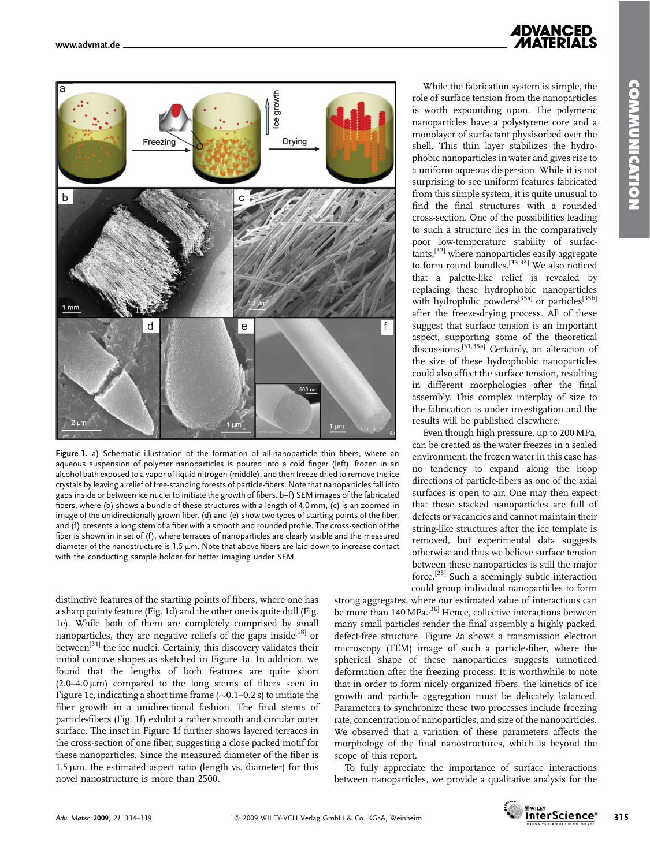

Figure 1. a) Schematic illustration of the formation of all-nanoparticle thin fibers, where an aqueous suspension of polymer nanoparticles is poured into a cold finger (left), frozen in an alcohol bath exposed to a vapor of liquid nitrogen (middle), and then freeze dried to remove the ice crystals by leaving a relief of free-standing forests of particle-fibers. Note that nanoparticles fall into gaps inside or between ice nuclei to initiate the growth of fibers. b–f) SEM images of the fabricated fibers, where (b) shows a bundle of these structures with a length of 4.0 mm, (c) is an zoomed-in image of the unidirectionally grown fiber, (d) and (e) show two types of starting points of the fiber, and (f) presents a long stem of a fiber with a smooth and rounded profile. The cross-section of the fiber is shown in inset of (f), where terraces of nanoparticles are clearly visible and the measured diameter of the nanostructure is  $1.5 \mu m$ . Note that above fibers are laid down to increase contact with the conducting sample holder for better imaging under SEM.

distinctive features of the starting points of fibers, where one has a sharp pointy feature (Fig. 1d) and the other one is quite dull (Fig. 1e). While both of them are completely comprised by small nanoparticles, they are negative reliefs of the gaps inside<sup>[18]</sup> or between<sup>[31]</sup> the ice nuclei. Certainly, this discovery validates their initial concave shapes as sketched in Figure 1a. In addition, we found that the lengths of both features are quite short  $(2.0-4.0 \,\mu\text{m})$  compared to the long stems of fibers seen in Figure 1c, indicating a short time frame ( $\sim$ 0.1–0.2 s) to initiate the fiber growth in a unidirectional fashion. The final stems of particle-fibers (Fig. 1f) exhibit a rather smooth and circular outer surface. The inset in Figure 1f further shows layered terraces in the cross-section of one fiber, suggesting a close packed motif for these nanoparticles. Since the measured diameter of the fiber is  $1.5 \mu$ m, the estimated aspect ratio (length vs. diameter) for this novel nanostructure is more than 2500.

# *ADVANCED*

While the fabrication system is simple, the role of surface tension from the nanoparticles is worth expounding upon. The polymeric nanoparticles have a polystyrene core and a monolayer of surfactant physisorbed over the shell. This thin layer stabilizes the hydrophobic nanoparticles in water and gives rise to a uniform aqueous dispersion. While it is not surprising to see uniform features fabricated from this simple system, it is quite unusual to find the final structures with a rounded cross-section. One of the possibilities leading to such a structure lies in the comparatively poor low-temperature stability of surfactants,[32] where nanoparticles easily aggregate to form round bundles.<sup>[33,34]</sup> We also noticed that a palette-like relief is revealed by replacing these hydrophobic nanoparticles with hydrophilic powders<sup>[35a]</sup> or particles<sup>[35b]</sup> after the freeze-drying process. All of these suggest that surface tension is an important aspect, supporting some of the theoretical  $\frac{1}{2}$  discussions.<sup>[31,35a]</sup> Certainly, an alteration of the size of these hydrophobic nanoparticles could also affect the surface tension, resulting in different morphologies after the final assembly. This complex interplay of size to the fabrication is under investigation and the results will be published elsewhere.

Even though high pressure, up to 200 MPa, can be created as the water freezes in a sealed environment, the frozen water in this case has no tendency to expand along the hoop directions of particle-fibers as one of the axial surfaces is open to air. One may then expect that these stacked nanoparticles are full of defects or vacancies and cannot maintain their string-like structures after the ice template is removed, but experimental data suggests otherwise and thus we believe surface tension between these nanoparticles is still the major force.[25] Such a seemingly subtle interaction could group individual nanoparticles to form

strong aggregates, where our estimated value of interactions can be more than 140 MPa.<sup>[36]</sup> Hence, collective interactions between many small particles render the final assembly a highly packed, defect-free structure. Figure 2a shows a transmission electron microscopy (TEM) image of such a particle-fiber, where the spherical shape of these nanoparticles suggests unnoticed deformation after the freezing process. It is worthwhile to note that in order to form nicely organized fibers, the kinetics of ice growth and particle aggregation must be delicately balanced. Parameters to synchronize these two processes include freezing rate, concentration of nanoparticles, and size of the nanoparticles. We observed that a variation of these parameters affects the morphology of the final nanostructures, which is beyond the scope of this report.

To fully appreciate the importance of surface interactions between nanoparticles, we provide a qualitative analysis for the



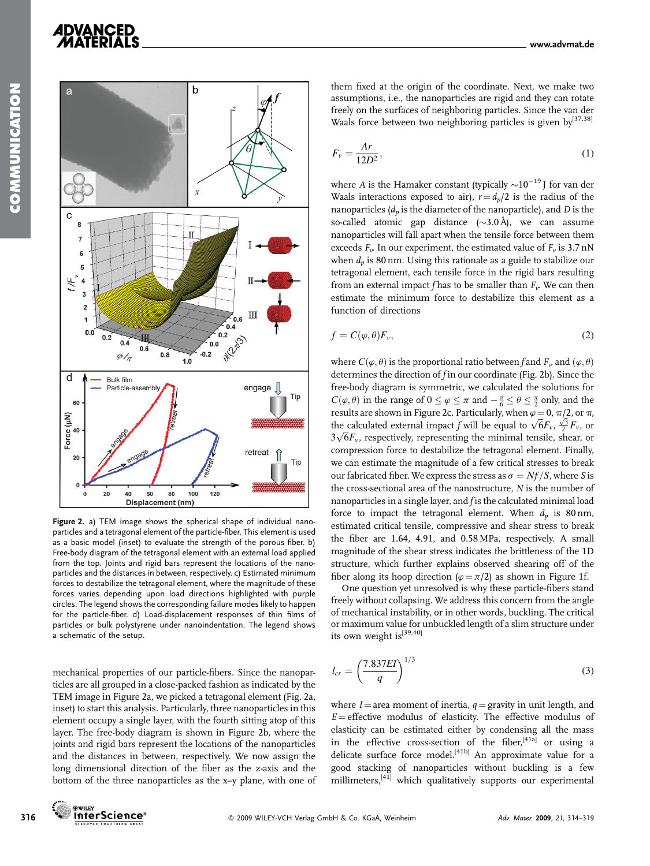# *ADVANCED*



Figure 2. a) TEM image shows the spherical shape of individual nanoparticles and a tetragonal element of the particle-fiber. This element is used as a basic model (inset) to evaluate the strength of the porous fiber. b) Free-body diagram of the tetragonal element with an external load applied from the top. Joints and rigid bars represent the locations of the nanoparticles and the distances in between, respectively. c) Estimated minimum forces to destabilize the tetragonal element, where the magnitude of these forces varies depending upon load directions highlighted with purple circles. The legend shows the corresponding failure modes likely to happen for the particle-fiber. d) Load-displacement responses of thin films of particles or bulk polystyrene under nanoindentation. The legend shows a schematic of the setup.

mechanical properties of our particle-fibers. Since the nanoparticles are all grouped in a close-packed fashion as indicated by the TEM image in Figure 2a, we picked a tetragonal element (Fig. 2a, inset) to start this analysis. Particularly, three nanoparticles in this element occupy a single layer, with the fourth sitting atop of this layer. The free-body diagram is shown in Figure 2b, where the joints and rigid bars represent the locations of the nanoparticles and the distances in between, respectively. We now assign the long dimensional direction of the fiber as the z-axis and the bottom of the three nanoparticles as the x–y plane, with one of them fixed at the origin of the coordinate. Next, we make two assumptions, i.e., the nanoparticles are rigid and they can rotate freely on the surfaces of neighboring particles. Since the van der Waals force between two neighboring particles is given by<sup>[37,38]</sup>

$$
F_v = \frac{Ar}{12D^2},\tag{1}
$$

where A is the Hamaker constant (typically  ${\sim}10^{-19}$  J for van der Waals interactions exposed to air),  $r = d_n/2$  is the radius of the nanoparticles  $(d_n)$  is the diameter of the nanoparticle), and D is the so-called atomic gap distance  $(\sim 3.0 \text{ Å})$ , we can assume nanoparticles will fall apart when the tensile force between them exceeds  $F_{\nu}$ . In our experiment, the estimated value of  $F_{\nu}$  is 3.7 nN when  $d_n$  is 80 nm. Using this rationale as a guide to stabilize our tetragonal element, each tensile force in the rigid bars resulting from an external impact f has to be smaller than  $F_{\nu}$ . We can then estimate the minimum force to destabilize this element as a function of directions

$$
f = C(\varphi, \theta) F_v,\tag{2}
$$

where  $C(\varphi, \theta)$  is the proportional ratio between f and  $F_{\nu}$  and  $(\varphi, \theta)$ determines the direction of  $f$  in our coordinate (Fig. 2b). Since the free-body diagram is symmetric, we calculated the solutions for  $C(\varphi, \theta)$  in the range of  $0 \le \varphi \le \pi$  and  $-\frac{\pi}{6} \le \theta \le \frac{\pi}{2}$  only, and the results are shown in Figure 2c. Particularly, when  $\varphi = 0$ ,  $\pi/2$ , or  $\pi$ , tesults are shown in Figure 2c. Particularly, when  $\varphi = 0$ ,  $\pi/2$ , or  $\pi$ , the calculated external impact f will be equal to  $\sqrt{6}F_v$ ,  $\frac{\sqrt{3}}{2}F_v$ , or the calculated external impact *J* will be equal to  $\sqrt{or_v}$ ,  $\frac{1}{2}r_v$ , or  $3\sqrt{6}F_v$ , respectively, representing the minimal tensile, shear, or compression force to destabilize the tetragonal element. Finally, we can estimate the magnitude of a few critical stresses to break our fabricated fiber. We express the stress as  $\sigma = Nf/S$ , where S is the cross-sectional area of the nanostructure, N is the number of nanoparticles in a single layer, and f is the calculated minimal load force to impact the tetragonal element. When  $d_p$  is 80 nm, estimated critical tensile, compressive and shear stress to break the fiber are 1.64, 4.91, and 0.58 MPa, respectively. A small magnitude of the shear stress indicates the brittleness of the 1D structure, which further explains observed shearing off of the fiber along its hoop direction ( $\varphi = \pi/2$ ) as shown in Figure 1f.

One question yet unresolved is why these particle-fibers stand freely without collapsing. We address this concern from the angle of mechanical instability, or in other words, buckling. The critical or maximum value for unbuckled length of a slim structure under its own weight is<sup>[39,40]</sup>

$$
l_{cr} = \left(\frac{7.837EI}{q}\right)^{1/3} \tag{3}
$$

where  $I =$  area moment of inertia,  $q =$  gravity in unit length, and  $E =$  effective modulus of elasticity. The effective modulus of elasticity can be estimated either by condensing all the mass in the effective cross-section of the fiber,<sup>[41a]</sup> or using a delicate surface force model.<sup>[41b]</sup> An approximate value for a good stacking of nanoparticles without buckling is a few millimeters,<sup>[41]</sup> which qualitatively supports our experimental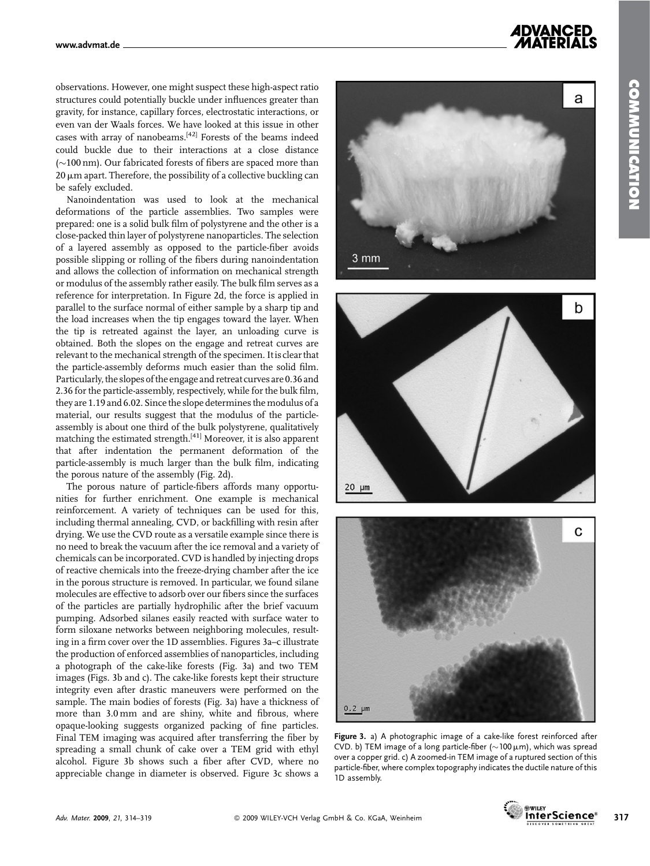*ADVANCED* 

observations. However, one might suspect these high-aspect ratio structures could potentially buckle under influences greater than gravity, for instance, capillary forces, electrostatic interactions, or even van der Waals forces. We have looked at this issue in other cases with array of nanobeams.[42] Forests of the beams indeed could buckle due to their interactions at a close distance  $(\sim]100 \text{ nm}$ ). Our fabricated forests of fibers are spaced more than  $20 \mu$ m apart. Therefore, the possibility of a collective buckling can be safely excluded.

Nanoindentation was used to look at the mechanical deformations of the particle assemblies. Two samples were prepared: one is a solid bulk film of polystyrene and the other is a close-packed thin layer of polystyrene nanoparticles. The selection of a layered assembly as opposed to the particle-fiber avoids possible slipping or rolling of the fibers during nanoindentation and allows the collection of information on mechanical strength or modulus of the assembly rather easily. The bulk film serves as a reference for interpretation. In Figure 2d, the force is applied in parallel to the surface normal of either sample by a sharp tip and the load increases when the tip engages toward the layer. When the tip is retreated against the layer, an unloading curve is obtained. Both the slopes on the engage and retreat curves are relevant to the mechanical strength of the specimen. Itis clearthat the particle-assembly deforms much easier than the solid film. Particularly, the slopes of the engage and retreat curves are 0.36 and 2.36 for the particle-assembly, respectively, while for the bulk film, they are 1.19 and 6.02. Since the slope determines the modulus of a material, our results suggest that the modulus of the particleassembly is about one third of the bulk polystyrene, qualitatively matching the estimated strength.<sup>[41]</sup> Moreover, it is also apparent that after indentation the permanent deformation of the particle-assembly is much larger than the bulk film, indicating the porous nature of the assembly (Fig. 2d).

The porous nature of particle-fibers affords many opportunities for further enrichment. One example is mechanical reinforcement. A variety of techniques can be used for this, including thermal annealing, CVD, or backfilling with resin after drying. We use the CVD route as a versatile example since there is no need to break the vacuum after the ice removal and a variety of chemicals can be incorporated. CVD is handled by injecting drops of reactive chemicals into the freeze-drying chamber after the ice in the porous structure is removed. In particular, we found silane molecules are effective to adsorb over our fibers since the surfaces of the particles are partially hydrophilic after the brief vacuum pumping. Adsorbed silanes easily reacted with surface water to form siloxane networks between neighboring molecules, resulting in a firm cover over the 1D assemblies. Figures 3a–c illustrate the production of enforced assemblies of nanoparticles, including a photograph of the cake-like forests (Fig. 3a) and two TEM images (Figs. 3b and c). The cake-like forests kept their structure integrity even after drastic maneuvers were performed on the sample. The main bodies of forests (Fig. 3a) have a thickness of more than 3.0 mm and are shiny, white and fibrous, where opaque-looking suggests organized packing of fine particles. Final TEM imaging was acquired after transferring the fiber by spreading a small chunk of cake over a TEM grid with ethyl alcohol. Figure 3b shows such a fiber after CVD, where no appreciable change in diameter is observed. Figure 3c shows a







Figure 3. a) A photographic image of a cake-like forest reinforced after CVD. b) TEM image of a long particle-fiber ( $\sim$ 100  $\mu$ m), which was spread over a copper grid. c) A zoomed-in TEM image of a ruptured section of this particle-fiber, where complex topography indicates the ductile nature of this 1D assembly.

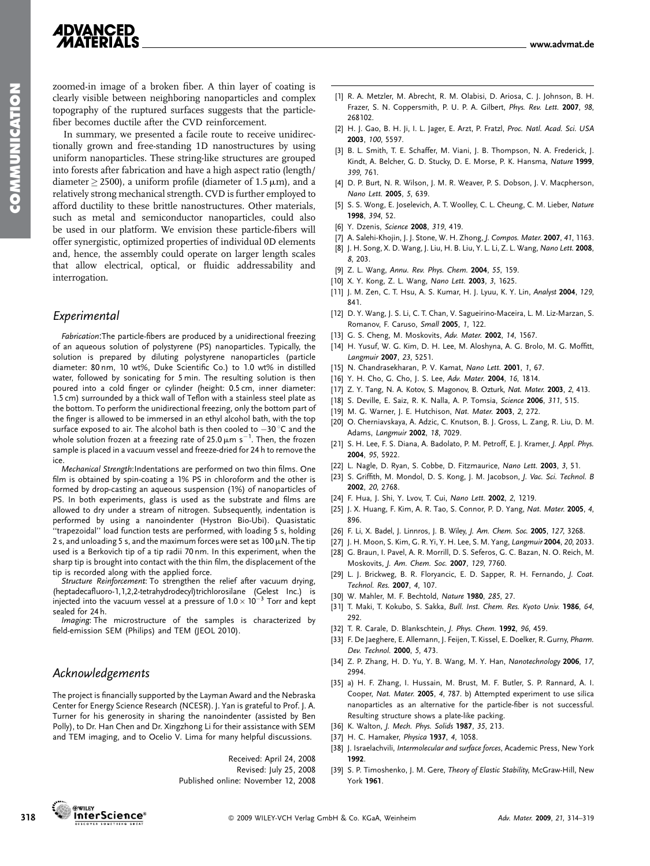### **ADVANCED MATERIALS**

zoomed-in image of a broken fiber. A thin layer of coating is clearly visible between neighboring nanoparticles and complex topography of the ruptured surfaces suggests that the particlefiber becomes ductile after the CVD reinforcement.

In summary, we presented a facile route to receive unidirectionally grown and free-standing 1D nanostructures by using uniform nanoparticles. These string-like structures are grouped into forests after fabrication and have a high aspect ratio (length/ diameter  $>$  2500), a uniform profile (diameter of 1.5  $\mu$ m), and a relatively strong mechanical strength. CVD is further employed to afford ductility to these brittle nanostructures. Other materials, such as metal and semiconductor nanoparticles, could also be used in our platform. We envision these particle-fibers will offer synergistic, optimized properties of individual 0D elements and, hence, the assembly could operate on larger length scales that allow electrical, optical, or fluidic addressability and interrogation.

### Experimental

Fabrication:The particle-fibers are produced by a unidirectional freezing of an aqueous solution of polystyrene (PS) nanoparticles. Typically, the solution is prepared by diluting polystyrene nanoparticles (particle diameter: 80 nm, 10 wt%, Duke Scientific Co.) to 1.0 wt% in distilled water, followed by sonicating for 5 min. The resulting solution is then poured into a cold finger or cylinder (height: 0.5 cm, inner diameter: 1.5 cm) surrounded by a thick wall of Teflon with a stainless steel plate as the bottom. To perform the unidirectional freezing, only the bottom part of the finger is allowed to be immersed in an ethyl alcohol bath, with the top surface exposed to air. The alcohol bath is then cooled to -30 °C and the whole solution frozen at a freezing rate of 25.0  $\mu$ m s $^{-1}$ . Then, the frozen sample is placed in a vacuum vessel and freeze-dried for 24 h to remove the ice.

Mechanical Strength:Indentations are performed on two thin films. One film is obtained by spin-coating a 1% PS in chloroform and the other is formed by drop-casting an aqueous suspension (1%) of nanoparticles of PS. In both experiments, glass is used as the substrate and films are allowed to dry under a stream of nitrogen. Subsequently, indentation is performed by using a nanoindenter (Hystron Bio-Ubi). Quasistatic ''trapezoidal'' load function tests are performed, with loading 5 s, holding 2 s, and unloading 5 s, and the maximum forces were set as  $100 \mu$ N. The tip used is a Berkovich tip of a tip radii 70 nm. In this experiment, when the sharp tip is brought into contact with the thin film, the displacement of the tip is recorded along with the applied force.

Structure Reinforcement: To strengthen the relief after vacuum drying, (heptadecafluoro-1,1,2,2-tetrahydrodecyl)trichlorosilane (Gelest Inc.) is injected into the vacuum vessel at a pressure of  $1.0 \times 10^{-3}$  Torr and kept sealed for 24 h.

Imaging: The microstructure of the samples is characterized by field-emission SEM (Philips) and TEM (JEOL 2010).

#### Acknowledgements

The project is financially supported by the Layman Award and the Nebraska Center for Energy Science Research (NCESR). J. Yan is grateful to Prof. J. A. Turner for his generosity in sharing the nanoindenter (assisted by Ben Polly), to Dr. Han Chen and Dr. Xingzhong Li for their assistance with SEM and TEM imaging, and to Ocelio V. Lima for many helpful discussions.

> Received: April 24, 2008 Revised: July 25, 2008 Published online: November 12, 2008

www.advmat.de

- [1] R. A. Metzler, M. Abrecht, R. M. Olabisi, D. Ariosa, C. J. Johnson, B. H. Frazer, S. N. Coppersmith, P. U. P. A. Gilbert, Phys. Rev. Lett. 2007, 98, 268102.
- [2] H. J. Gao, B. H. Ji, I. L. Jager, E. Arzt, P. Fratzl, Proc. Natl. Acad. Sci. USA 2003, 100, 5597.
- [3] B. L. Smith, T. E. Schaffer, M. Viani, J. B. Thompson, N. A. Frederick, J. Kindt, A. Belcher, G. D. Stucky, D. E. Morse, P. K. Hansma, Nature 1999, 399, 761.
- [4] D. P. Burt, N. R. Wilson, J. M. R. Weaver, P. S. Dobson, J. V. Macpherson, Nano Lett. 2005, 5, 639.
- [5] S. S. Wong, E. Joselevich, A. T. Woolley, C. L. Cheung, C. M. Lieber, Nature 1998, 394, 52.
- [6] Y. Dzenis, Science 2008, 319, 419.
- [7] A. Salehi-Khojin, J. J. Stone, W. H. Zhong, J. Compos. Mater. 2007, 41, 1163.
- [8] J. H. Song, X. D. Wang, J. Liu, H. B. Liu, Y. L. Li, Z. L. Wang, Nano Lett. 2008, 8, 203.
- [9] Z. L. Wang, Annu. Rev. Phys. Chem. 2004, 55, 159.
- [10] X. Y. Kong, Z. L. Wang, Nano Lett. 2003, 3, 1625.
- [11] J. M. Zen, C. T. Hsu, A. S. Kumar, H. J. Lyuu, K. Y. Lin, Analyst 2004, 129, 841.
- [12] D. Y. Wang, J. S. Li, C. T. Chan, V. Sagueirino-Maceira, L. M. Liz-Marzan, S. Romanov, F. Caruso, Small 2005, 1, 122.
- [13] G. S. Cheng, M. Moskovits, Adv. Mater. 2002, 14, 1567.
- [14] H. Yusuf, W. G. Kim, D. H. Lee, M. Aloshyna, A. G. Brolo, M. G. Moffitt, Langmuir 2007, 23, 5251.
- [15] N. Chandrasekharan, P. V. Kamat, Nano Lett. 2001, 1, 67.
- [16] Y. H. Cho, G. Cho, J. S. Lee, Adv. Mater. 2004, 16, 1814.
- [17] Z. Y. Tang, N. A. Kotov, S. Magonov, B. Ozturk, Nat. Mater. 2003, 2, 413.
- [18] S. Deville, E. Saiz, R. K. Nalla, A. P. Tomsia, Science 2006, 311, 515.
- [19] M. G. Warner, J. E. Hutchison, Nat. Mater. 2003, 2, 272.
- [20] O. Cherniavskaya, A. Adzic, C. Knutson, B. J. Gross, L. Zang, R. Liu, D. M. Adams, Langmuir 2002, 18, 7029.
- [21] S. H. Lee, F. S. Diana, A. Badolato, P. M. Petroff, E. J. Kramer, J. Appl. Phys. 2004, 95, 5922.
- [22] L. Nagle, D. Ryan, S. Cobbe, D. Fitzmaurice, Nano Lett. 2003, 3, 51.
- [23] S. Griffith, M. Mondol, D. S. Kong, J. M. Jacobson, J. Vac. Sci. Technol. B 2002, 20, 2768.
- [24] F. Hua, J. Shi, Y. Lvov, T. Cui, Nano Lett. 2002, 2, 1219.
- [25] J. X. Huang, F. Kim, A. R. Tao, S. Connor, P. D. Yang, Nat. Mater. 2005, 4, 896.
- [26] F. Li, X. Badel, J. Linnros, J. B. Wiley, J. Am. Chem. Soc. 2005, 127, 3268.
- [27] J. H. Moon, S. Kim, G. R. Yi, Y. H. Lee, S. M. Yang, Langmuir 2004, 20, 2033.
- [28] G. Braun, I. Pavel, A. R. Morrill, D. S. Seferos, G. C. Bazan, N. O. Reich, M. Moskovits, J. Am. Chem. Soc. 2007, 129, 7760.
- [29] L. J. Brickweg, B. R. Floryancic, E. D. Sapper, R. H. Fernando, J. Coat. Technol. Res. 2007, 4, 107.
- [30] W. Mahler, M. F. Bechtold, Nature 1980, 285, 27.
- [31] T. Maki, T. Kokubo, S. Sakka, Bull. Inst. Chem. Res. Kyoto Univ. 1986, 64, 292.
- [32] T. R. Carale, D. Blankschtein, J. Phys. Chem. 1992, 96, 459.
- [33] F. De Jaeghere, E. Allemann, J. Feijen, T. Kissel, E. Doelker, R. Gurny, Pharm. Dev. Technol. 2000, 5, 473.
- [34] Z. P. Zhang, H. D. Yu, Y. B. Wang, M. Y. Han, Nanotechnology 2006, 17, 2994.
- [35] a) H. F. Zhang, I. Hussain, M. Brust, M. F. Butler, S. P. Rannard, A. I. Cooper, Nat. Mater. 2005, 4, 787. b) Attempted experiment to use silica nanoparticles as an alternative for the particle-fiber is not successful. Resulting structure shows a plate-like packing.
- [36] K. Walton, J. Mech. Phys. Solids 1987, 35, 213.
- [37] H. C. Hamaker, Physica 1937, 4, 1058.
- [38] J. Israelachvili, Intermolecular and surface forces, Academic Press, New York 1992.
- [39] S. P. Timoshenko, J. M. Gere, Theory of Elastic Stability, McGraw-Hill, New York 1961.



- 
-